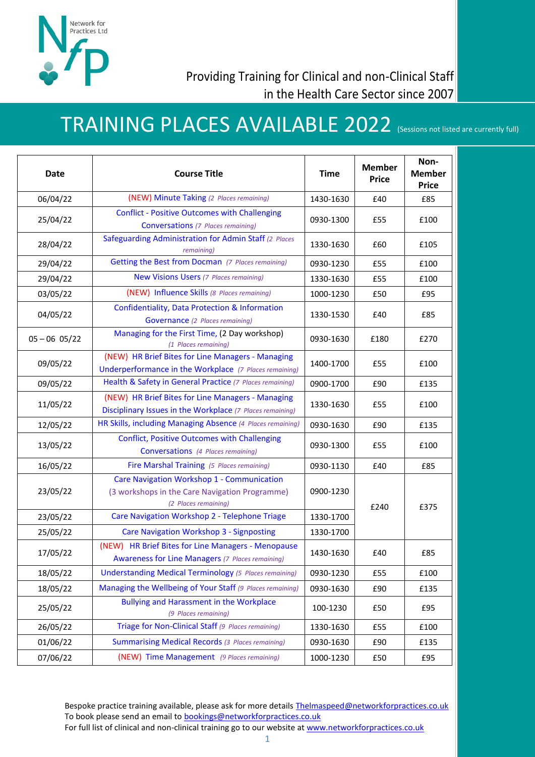

## TRAINING PLACES AVAILABLE 2022 (Sessions not listed are currently full)

| Date            | <b>Course Title</b>                                                                                                  | <b>Time</b> | <b>Member</b><br><b>Price</b> | Non-<br><b>Member</b><br><b>Price</b> |
|-----------------|----------------------------------------------------------------------------------------------------------------------|-------------|-------------------------------|---------------------------------------|
| 06/04/22        | (NEW) Minute Taking (2 Places remaining)                                                                             | 1430-1630   | £40                           | £85                                   |
| 25/04/22        | <b>Conflict - Positive Outcomes with Challenging</b><br><b>Conversations</b> (7 Places remaining)                    | 0930-1300   | £55                           | £100                                  |
| 28/04/22        | Safeguarding Administration for Admin Staff (2 Places<br>remaining)                                                  | 1330-1630   | £60                           | £105                                  |
| 29/04/22        | Getting the Best from Docman (7 Places remaining)                                                                    | 0930-1230   | £55                           | £100                                  |
| 29/04/22        | <b>New Visions Users (7 Places remaining)</b>                                                                        | 1330-1630   | £55                           | £100                                  |
| 03/05/22        | (NEW) Influence Skills (8 Places remaining)                                                                          | 1000-1230   | £50                           | £95                                   |
| 04/05/22        | Confidentiality, Data Protection & Information<br><b>Governance</b> (2 Places remaining)                             | 1330-1530   | £40                           | £85                                   |
| $05 - 06$ 05/22 | Managing for the First Time, (2 Day workshop)<br>(1 Places remaining)                                                | 0930-1630   | £180                          | £270                                  |
| 09/05/22        | (NEW) HR Brief Bites for Line Managers - Managing<br>Underperformance in the Workplace (7 Places remaining)          | 1400-1700   | £55                           | £100                                  |
| 09/05/22        | Health & Safety in General Practice (7 Places remaining)                                                             | 0900-1700   | £90                           | £135                                  |
| 11/05/22        | (NEW) HR Brief Bites for Line Managers - Managing<br>Disciplinary Issues in the Workplace (7 Places remaining)       | 1330-1630   | £55                           | £100                                  |
| 12/05/22        | HR Skills, including Managing Absence (4 Places remaining)                                                           | 0930-1630   | £90                           | £135                                  |
| 13/05/22        | <b>Conflict, Positive Outcomes with Challenging</b><br><b>Conversations</b> (4 Places remaining)                     | 0930-1300   | £55                           | £100                                  |
| 16/05/22        | Fire Marshal Training (5 Places remaining)                                                                           | 0930-1130   | £40                           | £85                                   |
| 23/05/22        | Care Navigation Workshop 1 - Communication<br>(3 workshops in the Care Navigation Programme)<br>(2 Places remaining) | 0900-1230   | £240                          | £375                                  |
| 23/05/22        | Care Navigation Workshop 2 - Telephone Triage                                                                        | 1330-1700   |                               |                                       |
| 25/05/22        | <b>Care Navigation Workshop 3 - Signposting</b>                                                                      | 1330-1700   |                               |                                       |
| 17/05/22        | (NEW) HR Brief Bites for Line Managers - Menopause<br><b>Awareness for Line Managers</b> (7 Places remaining)        | 1430-1630   | £40                           | £85                                   |
| 18/05/22        | <b>Understanding Medical Terminology</b> (5 Places remaining)                                                        | 0930-1230   | £55                           | £100                                  |
| 18/05/22        | Managing the Wellbeing of Your Staff (9 Places remaining)                                                            | 0930-1630   | £90                           | £135                                  |
| 25/05/22        | <b>Bullying and Harassment in the Workplace</b><br>(9 Places remaining)                                              | 100-1230    | £50                           | £95                                   |
| 26/05/22        | Triage for Non-Clinical Staff (9 Places remaining)                                                                   | 1330-1630   | £55                           | £100                                  |
| 01/06/22        | <b>Summarising Medical Records (3 Places remaining)</b>                                                              | 0930-1630   | £90                           | £135                                  |
| 07/06/22        | (NEW) Time Management (9 Places remaining)                                                                           | 1000-1230   | £50                           | £95                                   |

Bespoke practice training available, please ask for more details [Thelmaspeed@networkforpractices.co.uk](mailto:Thelmaspeed@networkforpractices.co.uk) To book please send an email to **bookings@networkforpractices.co.uk** For full list of clinical and non-clinical training go to our website a[t www.networkforpractices.co.uk](http://www.networkforpractices.co.uk/)